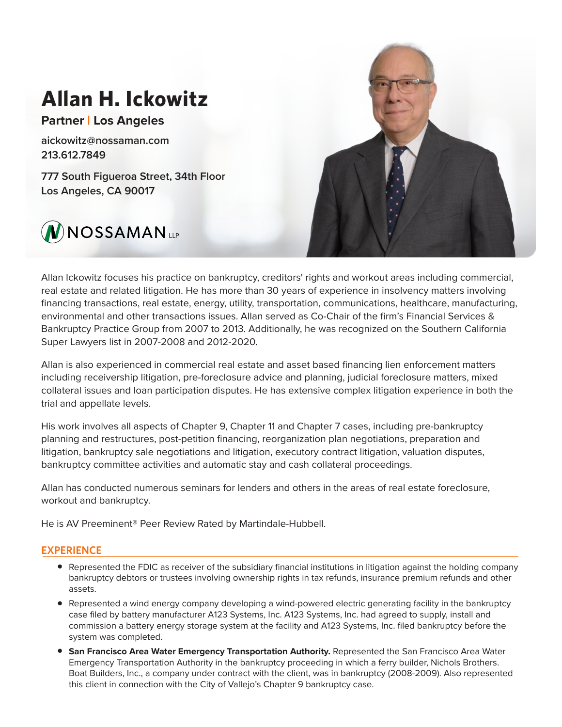# **Allan H. Ickowitz**

**Partner | Los Angeles**

aickowitz@nossaman.com 213.612.7849

777 South Figueroa Street, 34th Floor Los Angeles, CA 90017





Allan Ickowitz focuses his practice on bankruptcy, creditors' rights and workout areas including commercial, real estate and related litigation. He has more than 30 years of experience in insolvency matters involving financing transactions, real estate, energy, utility, transportation, communications, healthcare, manufacturing, environmental and other transactions issues. Allan served as Co-Chair of the firm's Financial Services & Bankruptcy Practice Group from 2007 to 2013. Additionally, he was recognized on the Southern California Super Lawyers list in 2007-2008 and 2012-2020.

Allan is also experienced in commercial real estate and asset based financing lien enforcement matters including receivership litigation, pre-foreclosure advice and planning, judicial foreclosure matters, mixed collateral issues and loan participation disputes. He has extensive complex litigation experience in both the trial and appellate levels.

His work involves all aspects of Chapter 9, Chapter 11 and Chapter 7 cases, including pre-bankruptcy planning and restructures, post-petition financing, reorganization plan negotiations, preparation and litigation, bankruptcy sale negotiations and litigation, executory contract litigation, valuation disputes, bankruptcy committee activities and automatic stay and cash collateral proceedings.

Allan has conducted numerous seminars for lenders and others in the areas of real estate foreclosure, workout and bankruptcy.

He is AV Preeminent® Peer Review Rated by Martindale-Hubbell.

# **EXPERIENCE**

- Represented the FDIC as receiver of the subsidiary financial institutions in litigation against the holding company bankruptcy debtors or trustees involving ownership rights in tax refunds, insurance premium refunds and other assets.
- Represented a wind energy company developing a wind-powered electric generating facility in the bankruptcy case filed by battery manufacturer A123 Systems, Inc. A123 Systems, Inc. had agreed to supply, install and commission a battery energy storage system at the facility and A123 Systems, Inc. filed bankruptcy before the system was completed.
- **San Francisco Area Water Emergency Transportation Authority.** Represented the San Francisco Area Water Emergency Transportation Authority in the bankruptcy proceeding in which a ferry builder, Nichols Brothers. Boat Builders, Inc., a company under contract with the client, was in bankruptcy (2008-2009). Also represented this client in connection with the City of Vallejo's Chapter 9 bankruptcy case.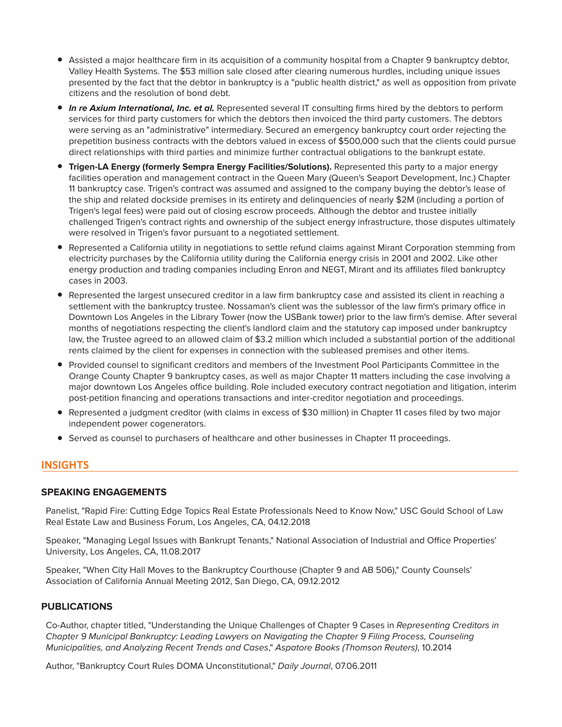- Assisted a major healthcare firm in its acquisition of a community hospital from a Chapter 9 bankruptcy debtor, Valley Health Systems. The \$53 million sale closed after clearing numerous hurdles, including unique issues presented by the fact that the debtor in bankruptcy is a "public health district," as well as opposition from private citizens and the resolution of bond debt.
- *In re Axium International, Inc. et al.* Represented several IT consulting firms hired by the debtors to perform services for third party customers for which the debtors then invoiced the third party customers. The debtors were serving as an "administrative" intermediary. Secured an emergency bankruptcy court order rejecting the prepetition business contracts with the debtors valued in excess of \$500,000 such that the clients could pursue direct relationships with third parties and minimize further contractual obligations to the bankrupt estate.
- **Trigen-LA Energy (formerly Sempra Energy Facilities/Solutions).** Represented this party to a major energy facilities operation and management contract in the Queen Mary (Queen's Seaport Development, Inc.) Chapter 11 bankruptcy case. Trigen's contract was assumed and assigned to the company buying the debtor's lease of the ship and related dockside premises in its entirety and delinquencies of nearly \$2M (including a portion of Trigen's legal fees) were paid out of closing escrow proceeds. Although the debtor and trustee initially challenged Trigen's contract rights and ownership of the subject energy infrastructure, those disputes ultimately were resolved in Trigen's favor pursuant to a negotiated settlement.
- Represented a California utility in negotiations to settle refund claims against Mirant Corporation stemming from electricity purchases by the California utility during the California energy crisis in 2001 and 2002. Like other energy production and trading companies including Enron and NEGT, Mirant and its affiliates filed bankruptcy cases in 2003.
- Represented the largest unsecured creditor in a law firm bankruptcy case and assisted its client in reaching a settlement with the bankruptcy trustee. Nossaman's client was the sublessor of the law firm's primary office in Downtown Los Angeles in the Library Tower (now the USBank tower) prior to the law firm's demise. After several months of negotiations respecting the client's landlord claim and the statutory cap imposed under bankruptcy law, the Trustee agreed to an allowed claim of \$3.2 million which included a substantial portion of the additional rents claimed by the client for expenses in connection with the subleased premises and other items.
- Provided counsel to significant creditors and members of the Investment Pool Participants Committee in the Orange County Chapter 9 bankruptcy cases, as well as major Chapter 11 matters including the case involving a major downtown Los Angeles office building. Role included executory contract negotiation and litigation, interim post-petition financing and operations transactions and inter-creditor negotiation and proceedings.
- Represented a judgment creditor (with claims in excess of \$30 million) in Chapter 11 cases filed by two major independent power cogenerators.
- Served as counsel to purchasers of healthcare and other businesses in Chapter 11 proceedings.

# **INSIGHTS**

# **SPEAKING ENGAGEMENTS**

Panelist, "Rapid Fire: Cutting Edge Topics Real Estate Professionals Need to Know Now," USC Gould School of Law Real Estate Law and Business Forum, Los Angeles, CA, 04.12.2018

Speaker, "Managing Legal Issues with Bankrupt Tenants," National Association of Industrial and Office Properties' University, Los Angeles, CA, 11.08.2017

Speaker, "When City Hall Moves to the Bankruptcy Courthouse (Chapter 9 and AB 506)," County Counsels' Association of California Annual Meeting 2012, San Diego, CA, 09.12.2012

# **PUBLICATIONS**

Co-Author, chapter titled, "Understanding the Unique Challenges of Chapter 9 Cases in *Representing Creditors in Chapter 9 Municipal Bankruptcy: Leading Lawyers on Navigating the Chapter 9 Filing Process, Counseling Municipalities, and Analyzing Recent Trends and Cases*," *Aspatore Books (Thomson Reuters)*, 10.2014

Author, "Bankruptcy Court Rules DOMA Unconstitutional," *Daily Journal*, 07.06.2011